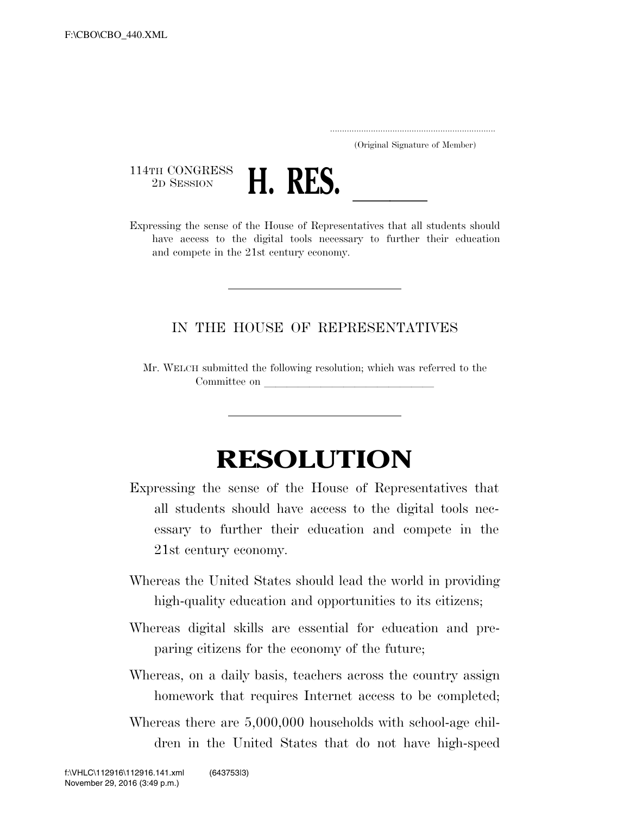..................................................................... (Original Signature of Member)

 $\begin{array}{c} \textbf{114TH CONGRESS} \\ \textbf{2D SESION} \end{array}$ 



<sup>114TH</sup> CONGRESS<br>
<sup>2D SESSION</sup><br>
Expressing the sense of the House of Representatives that all students should have access to the digital tools necessary to further their education and compete in the 21st century economy.

## IN THE HOUSE OF REPRESENTATIVES

Mr. WELCH submitted the following resolution; which was referred to the Committee on

## **RESOLUTION**

- Expressing the sense of the House of Representatives that all students should have access to the digital tools necessary to further their education and compete in the 21st century economy.
- Whereas the United States should lead the world in providing high-quality education and opportunities to its citizens;
- Whereas digital skills are essential for education and preparing citizens for the economy of the future;
- Whereas, on a daily basis, teachers across the country assign homework that requires Internet access to be completed;
- Whereas there are 5,000,000 households with school-age children in the United States that do not have high-speed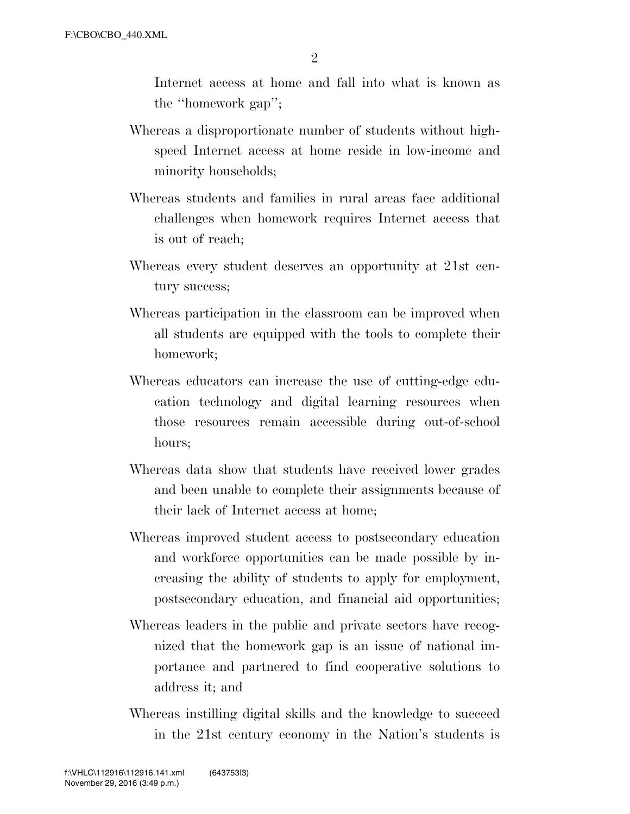Internet access at home and fall into what is known as the ''homework gap'';

- Whereas a disproportionate number of students without highspeed Internet access at home reside in low-income and minority households;
- Whereas students and families in rural areas face additional challenges when homework requires Internet access that is out of reach;
- Whereas every student deserves an opportunity at 21st century success;
- Whereas participation in the classroom can be improved when all students are equipped with the tools to complete their homework;
- Whereas educators can increase the use of cutting-edge education technology and digital learning resources when those resources remain accessible during out-of-school hours;
- Whereas data show that students have received lower grades and been unable to complete their assignments because of their lack of Internet access at home;
- Whereas improved student access to postsecondary education and workforce opportunities can be made possible by increasing the ability of students to apply for employment, postsecondary education, and financial aid opportunities;
- Whereas leaders in the public and private sectors have recognized that the homework gap is an issue of national importance and partnered to find cooperative solutions to address it; and
- Whereas instilling digital skills and the knowledge to succeed in the 21st century economy in the Nation's students is